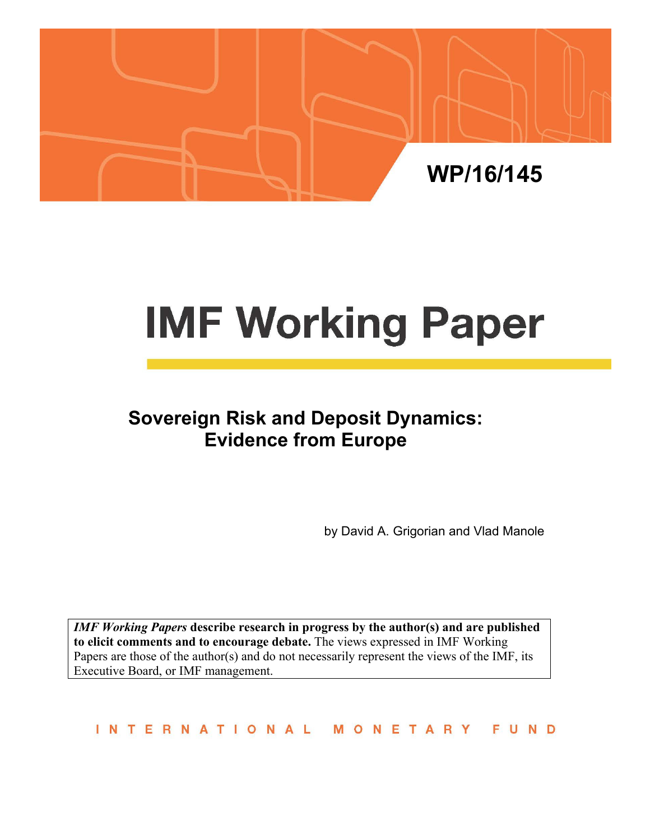

# **IMF Working Paper**

# **Sovereign Risk and Deposit Dynamics: Evidence from Europe**

by David A. Grigorian and Vlad Manole

*IMF Working Papers* **describe research in progress by the author(s) and are published to elicit comments and to encourage debate.** The views expressed in IMF Working Papers are those of the author(s) and do not necessarily represent the views of the IMF, its Executive Board, or IMF management.

INTERNATIONAL MONETARY FUND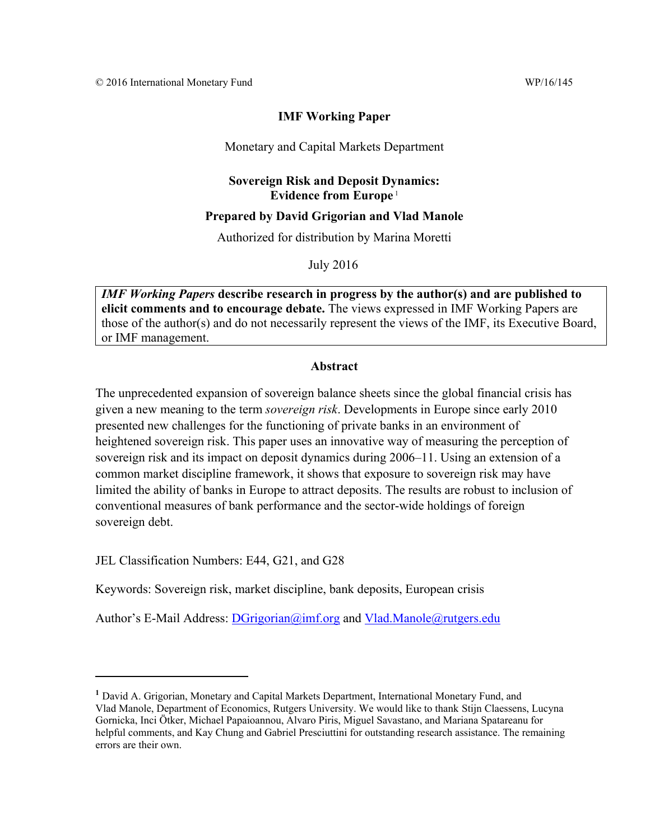## **IMF Working Paper**

#### Monetary and Capital Markets Department

### **Sovereign Risk and Deposit Dynamics: Evidence from Europe** <sup>1</sup>

#### **Prepared by David Grigorian and Vlad Manole**

Authorized for distribution by Marina Moretti

July 2016

*IMF Working Papers* **describe research in progress by the author(s) and are published to elicit comments and to encourage debate.** The views expressed in IMF Working Papers are those of the author(s) and do not necessarily represent the views of the IMF, its Executive Board, or IMF management.

#### **Abstract**

The unprecedented expansion of sovereign balance sheets since the global financial crisis has given a new meaning to the term *sovereign risk*. Developments in Europe since early 2010 presented new challenges for the functioning of private banks in an environment of heightened sovereign risk. This paper uses an innovative way of measuring the perception of sovereign risk and its impact on deposit dynamics during 2006–11. Using an extension of a common market discipline framework, it shows that exposure to sovereign risk may have limited the ability of banks in Europe to attract deposits. The results are robust to inclusion of conventional measures of bank performance and the sector-wide holdings of foreign sovereign debt.

JEL Classification Numbers: E44, G21, and G28

Keywords: Sovereign risk, market discipline, bank deposits, European crisis

Author's E-Mail Address: DGrigorian@imf.org and Vlad.Manole@rutgers.edu

**<sup>1</sup>** David A. Grigorian, Monetary and Capital Markets Department, International Monetary Fund, and Vlad Manole, Department of Economics, Rutgers University. We would like to thank Stijn Claessens, Lucyna Gornicka, Inci Ötker, Michael Papaioannou, Alvaro Piris, Miguel Savastano, and Mariana Spatareanu for helpful comments, and Kay Chung and Gabriel Presciuttini for outstanding research assistance. The remaining errors are their own.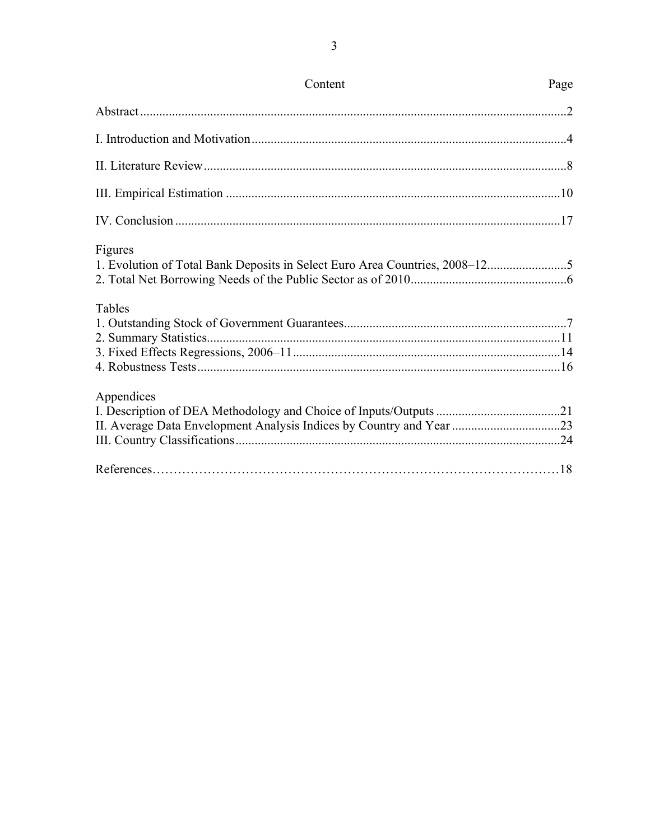| Content                                                                                | Page |
|----------------------------------------------------------------------------------------|------|
|                                                                                        |      |
|                                                                                        |      |
|                                                                                        |      |
|                                                                                        |      |
|                                                                                        |      |
| Figures<br>1. Evolution of Total Bank Deposits in Select Euro Area Countries, 2008-125 |      |
| Tables                                                                                 |      |
| Appendices                                                                             |      |
|                                                                                        |      |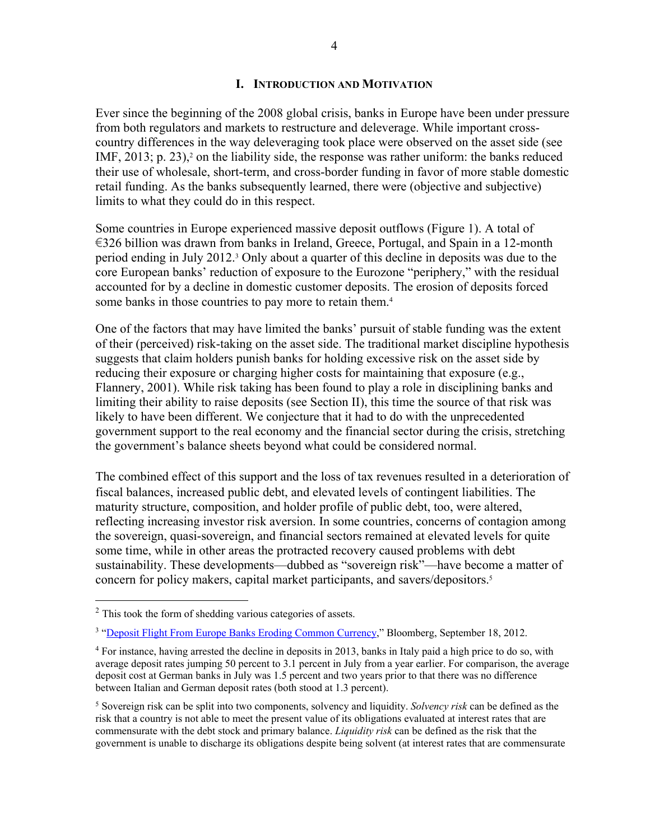#### **I. INTRODUCTION AND MOTIVATION**

Ever since the beginning of the 2008 global crisis, banks in Europe have been under pressure from both regulators and markets to restructure and deleverage. While important crosscountry differences in the way deleveraging took place were observed on the asset side (see IMF,  $2013$ ; p.  $23$ ),<sup>2</sup> on the liability side, the response was rather uniform: the banks reduced their use of wholesale, short-term, and cross-border funding in favor of more stable domestic retail funding. As the banks subsequently learned, there were (objective and subjective) limits to what they could do in this respect.

Some countries in Europe experienced massive deposit outflows (Figure 1). A total of €326 billion was drawn from banks in Ireland, Greece, Portugal, and Spain in a 12-month period ending in July 2012.3 Only about a quarter of this decline in deposits was due to the core European banks' reduction of exposure to the Eurozone "periphery," with the residual accounted for by a decline in domestic customer deposits. The erosion of deposits forced some banks in those countries to pay more to retain them.<sup>4</sup>

One of the factors that may have limited the banks' pursuit of stable funding was the extent of their (perceived) risk-taking on the asset side. The traditional market discipline hypothesis suggests that claim holders punish banks for holding excessive risk on the asset side by reducing their exposure or charging higher costs for maintaining that exposure (e.g., Flannery, 2001). While risk taking has been found to play a role in disciplining banks and limiting their ability to raise deposits (see Section II), this time the source of that risk was likely to have been different. We conjecture that it had to do with the unprecedented government support to the real economy and the financial sector during the crisis, stretching the government's balance sheets beyond what could be considered normal.

The combined effect of this support and the loss of tax revenues resulted in a deterioration of fiscal balances, increased public debt, and elevated levels of contingent liabilities. The maturity structure, composition, and holder profile of public debt, too, were altered, reflecting increasing investor risk aversion. In some countries, concerns of contagion among the sovereign, quasi-sovereign, and financial sectors remained at elevated levels for quite some time, while in other areas the protracted recovery caused problems with debt sustainability. These developments—dubbed as "sovereign risk"—have become a matter of concern for policy makers, capital market participants, and savers/depositors.5

<sup>&</sup>lt;sup>2</sup> This took the form of shedding various categories of assets.

<sup>&</sup>lt;sup>3</sup> "Deposit Flight From Europe Banks Eroding Common Currency," Bloomberg, September 18, 2012.

<sup>4</sup> For instance, having arrested the decline in deposits in 2013, banks in Italy paid a high price to do so, with average deposit rates jumping 50 percent to 3.1 percent in July from a year earlier. For comparison, the average deposit cost at German banks in July was 1.5 percent and two years prior to that there was no difference between Italian and German deposit rates (both stood at 1.3 percent).

<sup>5</sup> Sovereign risk can be split into two components, solvency and liquidity. *Solvency risk* can be defined as the risk that a country is not able to meet the present value of its obligations evaluated at interest rates that are commensurate with the debt stock and primary balance. *Liquidity risk* can be defined as the risk that the government is unable to discharge its obligations despite being solvent (at interest rates that are commensurate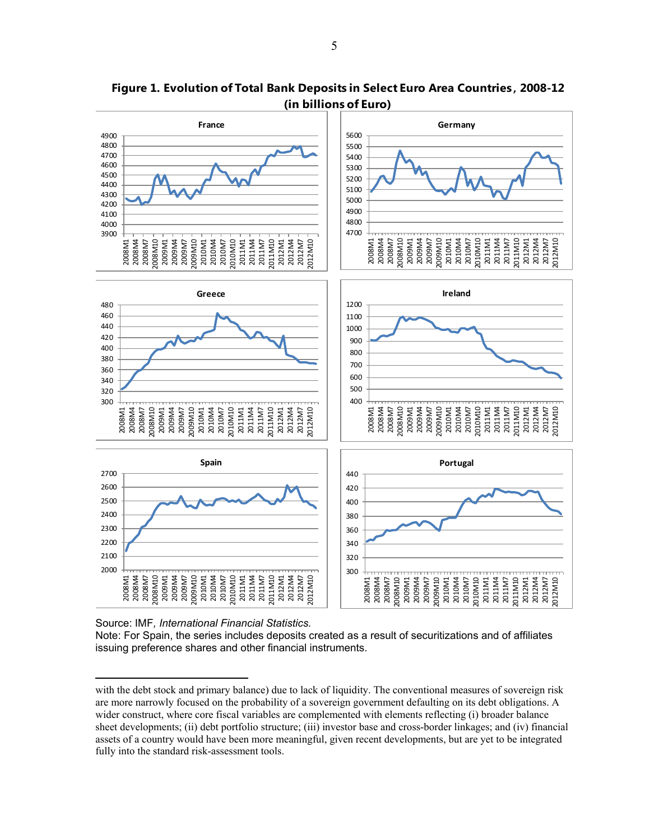

**Figure 1. Evolution of Total Bank Deposits in Select Euro Area Countries , 2008-12 (in billions of Euro)**

Source: IMF*, International Financial Statistics.* 

 $\overline{a}$ 

Note: For Spain, the series includes deposits created as a result of securitizations and of affiliates issuing preference shares and other financial instruments.

with the debt stock and primary balance) due to lack of liquidity. The conventional measures of sovereign risk are more narrowly focused on the probability of a sovereign government defaulting on its debt obligations. A wider construct, where core fiscal variables are complemented with elements reflecting (i) broader balance sheet developments; (ii) debt portfolio structure; (iii) investor base and cross-border linkages; and (iv) financial assets of a country would have been more meaningful, given recent developments, but are yet to be integrated fully into the standard risk-assessment tools.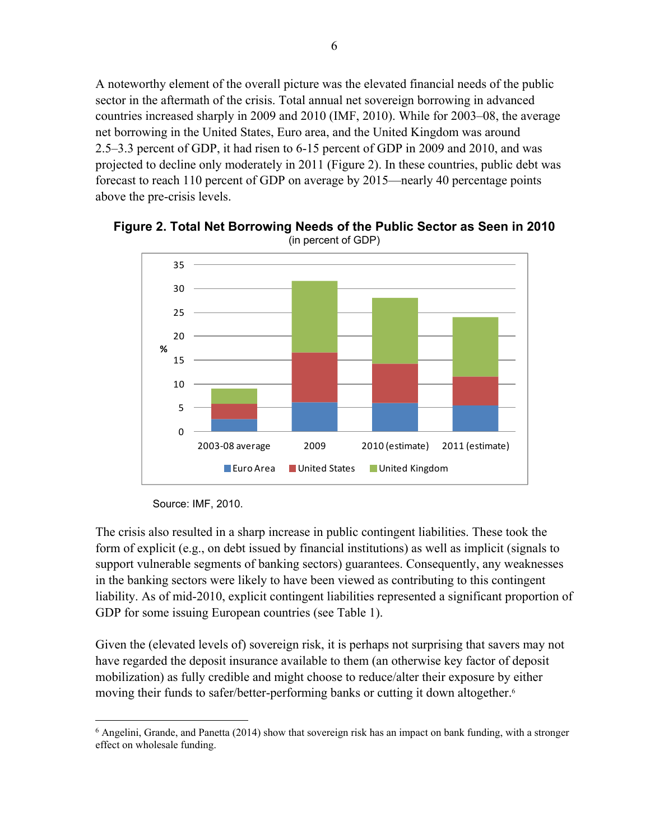A noteworthy element of the overall picture was the elevated financial needs of the public sector in the aftermath of the crisis. Total annual net sovereign borrowing in advanced countries increased sharply in 2009 and 2010 (IMF, 2010). While for 2003–08, the average net borrowing in the United States, Euro area, and the United Kingdom was around 2.5–3.3 percent of GDP, it had risen to 6-15 percent of GDP in 2009 and 2010, and was projected to decline only moderately in 2011 (Figure 2). In these countries, public debt was forecast to reach 110 percent of GDP on average by 2015—nearly 40 percentage points above the pre-crisis levels.



**Figure 2. Total Net Borrowing Needs of the Public Sector as Seen in 2010** (in percent of GDP)

Source: IMF, 2010.

1

The crisis also resulted in a sharp increase in public contingent liabilities. These took the form of explicit (e.g., on debt issued by financial institutions) as well as implicit (signals to support vulnerable segments of banking sectors) guarantees. Consequently, any weaknesses in the banking sectors were likely to have been viewed as contributing to this contingent liability. As of mid-2010, explicit contingent liabilities represented a significant proportion of GDP for some issuing European countries (see Table 1).

Given the (elevated levels of) sovereign risk, it is perhaps not surprising that savers may not have regarded the deposit insurance available to them (an otherwise key factor of deposit mobilization) as fully credible and might choose to reduce/alter their exposure by either moving their funds to safer/better-performing banks or cutting it down altogether.<sup>6</sup>

<sup>6</sup> Angelini, Grande, and Panetta (2014) show that sovereign risk has an impact on bank funding, with a stronger effect on wholesale funding.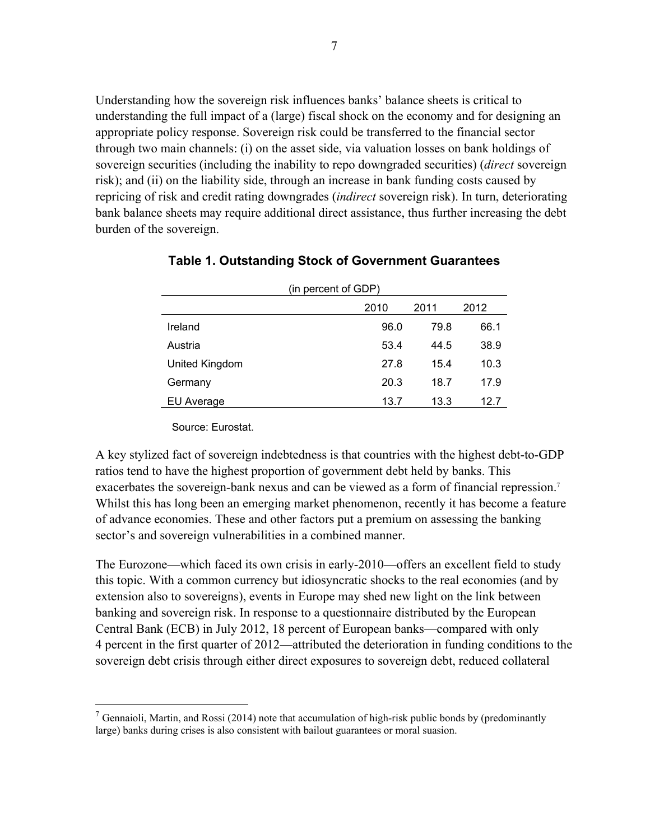Understanding how the sovereign risk influences banks' balance sheets is critical to understanding the full impact of a (large) fiscal shock on the economy and for designing an appropriate policy response. Sovereign risk could be transferred to the financial sector through two main channels: (i) on the asset side, via valuation losses on bank holdings of sovereign securities (including the inability to repo downgraded securities) (*direct* sovereign risk); and (ii) on the liability side, through an increase in bank funding costs caused by repricing of risk and credit rating downgrades (*indirect* sovereign risk). In turn, deteriorating bank balance sheets may require additional direct assistance, thus further increasing the debt burden of the sovereign.

| (in percent of GDP) |      |      |      |  |  |  |  |
|---------------------|------|------|------|--|--|--|--|
|                     | 2010 | 2011 | 2012 |  |  |  |  |
| Ireland             | 96.0 | 79.8 | 66.1 |  |  |  |  |
| Austria             | 53.4 | 44.5 | 38.9 |  |  |  |  |
| United Kingdom      | 27.8 | 15.4 | 10.3 |  |  |  |  |
| Germany             | 20.3 | 18.7 | 17.9 |  |  |  |  |
| EU Average          | 13.7 | 13.3 | 12.7 |  |  |  |  |

#### **Table 1. Outstanding Stock of Government Guarantees**

Source: Eurostat.

1

A key stylized fact of sovereign indebtedness is that countries with the highest debt-to-GDP ratios tend to have the highest proportion of government debt held by banks. This exacerbates the sovereign-bank nexus and can be viewed as a form of financial repression.<sup>7</sup> Whilst this has long been an emerging market phenomenon, recently it has become a feature of advance economies. These and other factors put a premium on assessing the banking sector's and sovereign vulnerabilities in a combined manner.

The Eurozone—which faced its own crisis in early-2010—offers an excellent field to study this topic. With a common currency but idiosyncratic shocks to the real economies (and by extension also to sovereigns), events in Europe may shed new light on the link between banking and sovereign risk. In response to a questionnaire distributed by the European Central Bank (ECB) in July 2012, 18 percent of European banks—compared with only 4 percent in the first quarter of 2012—attributed the deterioration in funding conditions to the sovereign debt crisis through either direct exposures to sovereign debt, reduced collateral

 $<sup>7</sup>$  Gennaioli, Martin, and Rossi (2014) note that accumulation of high-risk public bonds by (predominantly</sup> large) banks during crises is also consistent with bailout guarantees or moral suasion.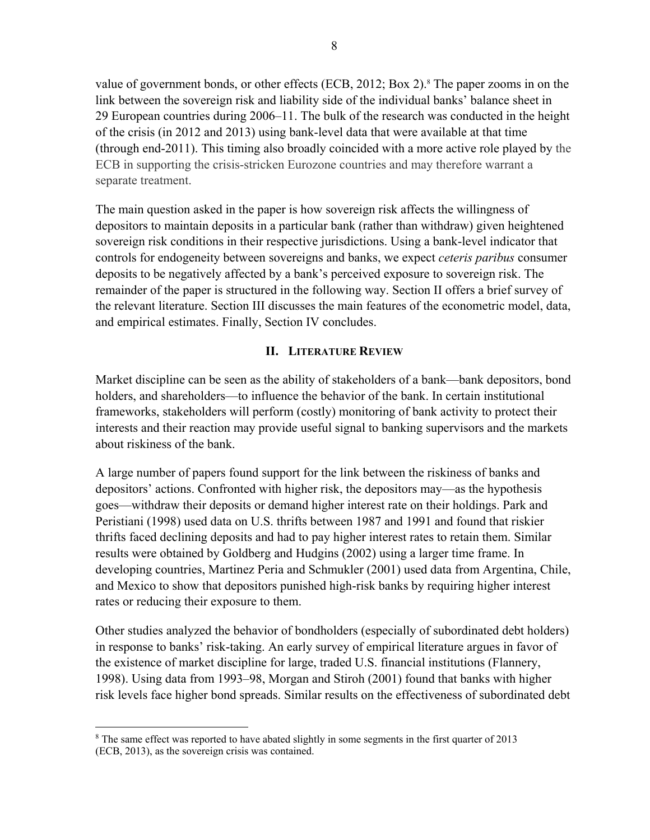value of government bonds, or other effects (ECB, 2012; Box 2).<sup>8</sup> The paper zooms in on the link between the sovereign risk and liability side of the individual banks' balance sheet in 29 European countries during 2006–11. The bulk of the research was conducted in the height of the crisis (in 2012 and 2013) using bank-level data that were available at that time (through end-2011). This timing also broadly coincided with a more active role played by the ECB in supporting the crisis-stricken Eurozone countries and may therefore warrant a separate treatment.

The main question asked in the paper is how sovereign risk affects the willingness of depositors to maintain deposits in a particular bank (rather than withdraw) given heightened sovereign risk conditions in their respective jurisdictions. Using a bank-level indicator that controls for endogeneity between sovereigns and banks, we expect *ceteris paribus* consumer deposits to be negatively affected by a bank's perceived exposure to sovereign risk. The remainder of the paper is structured in the following way. Section II offers a brief survey of the relevant literature. Section III discusses the main features of the econometric model, data, and empirical estimates. Finally, Section IV concludes.

### **II. LITERATURE REVIEW**

Market discipline can be seen as the ability of stakeholders of a bank—bank depositors, bond holders, and shareholders—to influence the behavior of the bank. In certain institutional frameworks, stakeholders will perform (costly) monitoring of bank activity to protect their interests and their reaction may provide useful signal to banking supervisors and the markets about riskiness of the bank.

A large number of papers found support for the link between the riskiness of banks and depositors' actions. Confronted with higher risk, the depositors may—as the hypothesis goes—withdraw their deposits or demand higher interest rate on their holdings. Park and Peristiani (1998) used data on U.S. thrifts between 1987 and 1991 and found that riskier thrifts faced declining deposits and had to pay higher interest rates to retain them. Similar results were obtained by Goldberg and Hudgins (2002) using a larger time frame. In developing countries, Martinez Peria and Schmukler (2001) used data from Argentina, Chile, and Mexico to show that depositors punished high-risk banks by requiring higher interest rates or reducing their exposure to them.

Other studies analyzed the behavior of bondholders (especially of subordinated debt holders) in response to banks' risk-taking. An early survey of empirical literature argues in favor of the existence of market discipline for large, traded U.S. financial institutions (Flannery, 1998). Using data from 1993–98, Morgan and Stiroh (2001) found that banks with higher risk levels face higher bond spreads. Similar results on the effectiveness of subordinated debt

<sup>&</sup>lt;sup>8</sup> The same effect was reported to have abated slightly in some segments in the first quarter of 2013 (ECB, 2013), as the sovereign crisis was contained.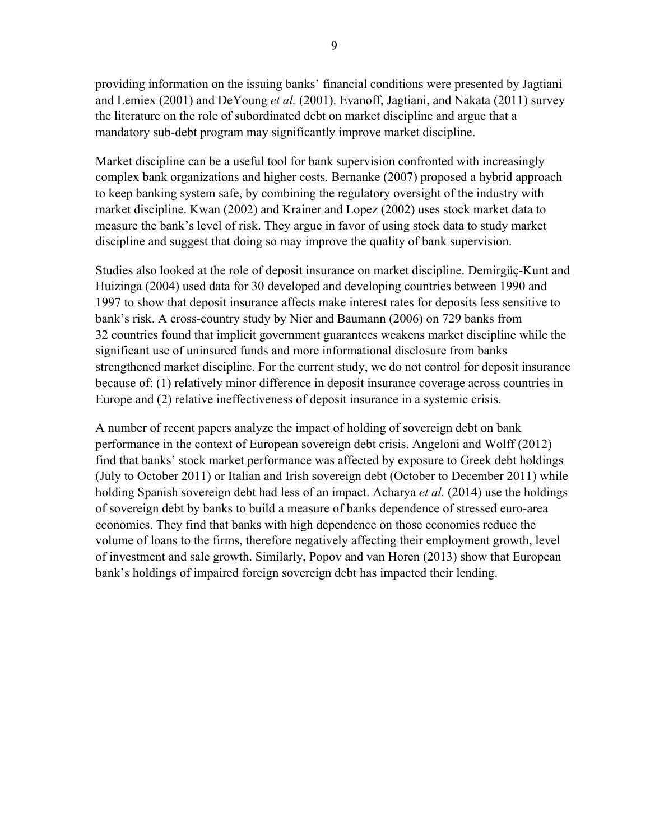providing information on the issuing banks' financial conditions were presented by Jagtiani and Lemiex (2001) and DeYoung *et al.* (2001). Evanoff, Jagtiani, and Nakata (2011) survey the literature on the role of subordinated debt on market discipline and argue that a mandatory sub-debt program may significantly improve market discipline.

Market discipline can be a useful tool for bank supervision confronted with increasingly complex bank organizations and higher costs. Bernanke (2007) proposed a hybrid approach to keep banking system safe, by combining the regulatory oversight of the industry with market discipline. Kwan (2002) and Krainer and Lopez (2002) uses stock market data to measure the bank's level of risk. They argue in favor of using stock data to study market discipline and suggest that doing so may improve the quality of bank supervision.

Studies also looked at the role of deposit insurance on market discipline. Demirgüç-Kunt and Huizinga (2004) used data for 30 developed and developing countries between 1990 and 1997 to show that deposit insurance affects make interest rates for deposits less sensitive to bank's risk. A cross-country study by Nier and Baumann (2006) on 729 banks from 32 countries found that implicit government guarantees weakens market discipline while the significant use of uninsured funds and more informational disclosure from banks strengthened market discipline. For the current study, we do not control for deposit insurance because of: (1) relatively minor difference in deposit insurance coverage across countries in Europe and (2) relative ineffectiveness of deposit insurance in a systemic crisis.

A number of recent papers analyze the impact of holding of sovereign debt on bank performance in the context of European sovereign debt crisis. Angeloni and Wolff (2012) find that banks' stock market performance was affected by exposure to Greek debt holdings (July to October 2011) or Italian and Irish sovereign debt (October to December 2011) while holding Spanish sovereign debt had less of an impact. Acharya *et al.* (2014) use the holdings of sovereign debt by banks to build a measure of banks dependence of stressed euro-area economies. They find that banks with high dependence on those economies reduce the volume of loans to the firms, therefore negatively affecting their employment growth, level of investment and sale growth. Similarly, Popov and van Horen (2013) show that European bank's holdings of impaired foreign sovereign debt has impacted their lending.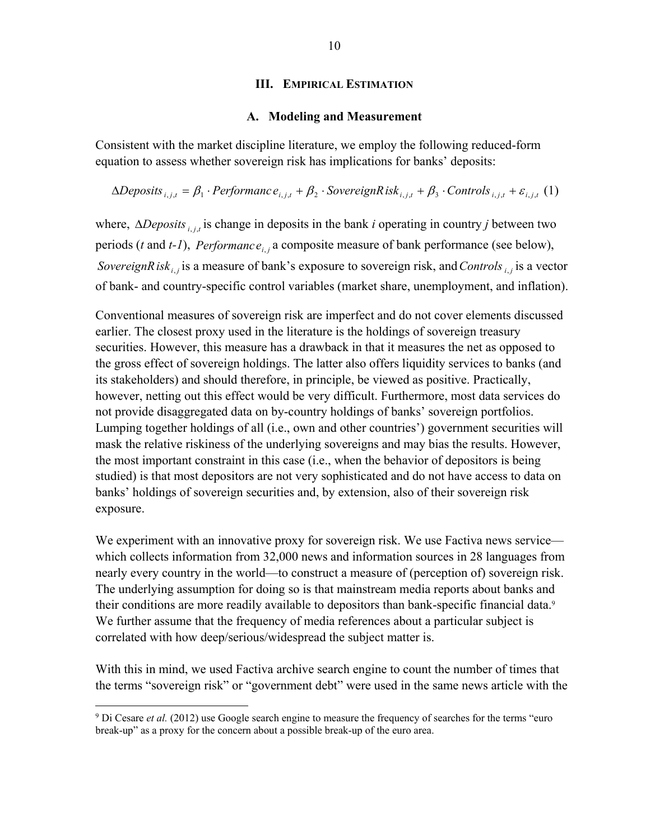#### **III. EMPIRICAL ESTIMATION**

#### **A. Modeling and Measurement**

Consistent with the market discipline literature, we employ the following reduced-form equation to assess whether sovereign risk has implications for banks' deposits:

 $\triangle Deposits_{i,j,t} = \beta_1 \cdot Performance_{i,j,t} + \beta_2 \cdot SovereignRisk_{i,j,t} + \beta_3 \cdot Controls_{i,j,t} + \varepsilon_{i,j,t}$  (1)

where,  $\triangle Deposits$ <sub>*i,j,t*</sub> is change in deposits in the bank *i* operating in country *j* between two periods (*t* and *t-1*), *Performance*<sub>*i*, *j* a composite measure of bank performance (see below),</sub> *SovereignRisk*<sub>*i*, *j* is a measure of bank's exposure to sovereign risk, and *Controls*<sub>*i*, *j* is a vector</sub></sub> of bank- and country-specific control variables (market share, unemployment, and inflation).

Conventional measures of sovereign risk are imperfect and do not cover elements discussed earlier. The closest proxy used in the literature is the holdings of sovereign treasury securities. However, this measure has a drawback in that it measures the net as opposed to the gross effect of sovereign holdings. The latter also offers liquidity services to banks (and its stakeholders) and should therefore, in principle, be viewed as positive. Practically, however, netting out this effect would be very difficult. Furthermore, most data services do not provide disaggregated data on by-country holdings of banks' sovereign portfolios. Lumping together holdings of all (i.e., own and other countries') government securities will mask the relative riskiness of the underlying sovereigns and may bias the results. However, the most important constraint in this case (i.e., when the behavior of depositors is being studied) is that most depositors are not very sophisticated and do not have access to data on banks' holdings of sovereign securities and, by extension, also of their sovereign risk exposure.

We experiment with an innovative proxy for sovereign risk. We use Factiva news service which collects information from 32,000 news and information sources in 28 languages from nearly every country in the world—to construct a measure of (perception of) sovereign risk. The underlying assumption for doing so is that mainstream media reports about banks and their conditions are more readily available to depositors than bank-specific financial data.<sup>9</sup> We further assume that the frequency of media references about a particular subject is correlated with how deep/serious/widespread the subject matter is.

With this in mind, we used Factiva archive search engine to count the number of times that the terms "sovereign risk" or "government debt" were used in the same news article with the

<sup>&</sup>lt;sup>9</sup> Di Cesare *et al.* (2012) use Google search engine to measure the frequency of searches for the terms "euro" break-up" as a proxy for the concern about a possible break-up of the euro area.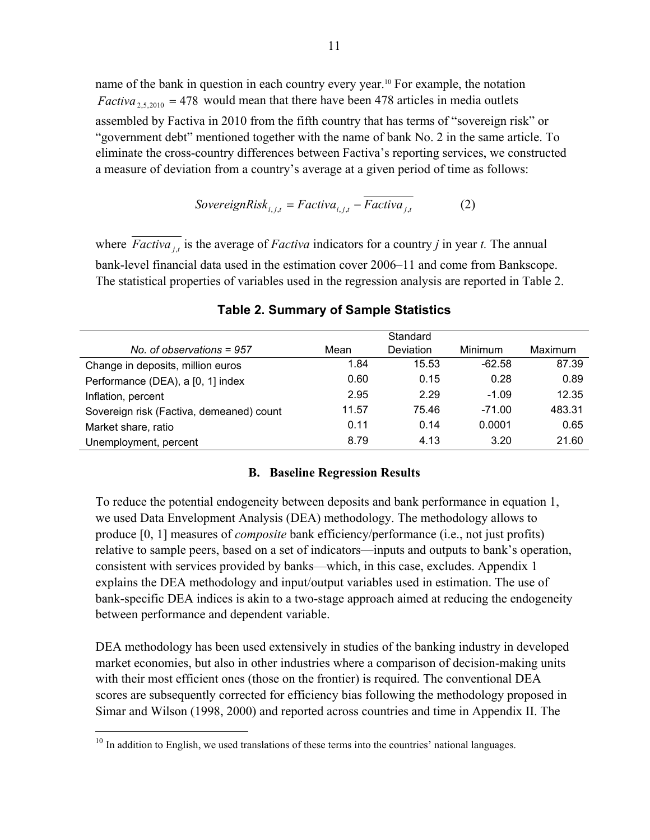name of the bank in question in each country every year.10 For example, the notation *Factiva*<sub>2,5,2010</sub> = 478 would mean that there have been 478 articles in media outlets assembled by Factiva in 2010 from the fifth country that has terms of "sovereign risk" or "government debt" mentioned together with the name of bank No. 2 in the same article. To eliminate the cross-country differences between Factiva's reporting services, we constructed a measure of deviation from a country's average at a given period of time as follows:

SovereignRisk<sub>i,j,t</sub> = Factiva<sub>i,j,t</sub> - 
$$
\overline{Factiva_{j,t}}
$$
 (2)

where  $\overline{Factiva_{ij}}$  is the average of *Factiva* indicators for a country *j* in year *t*. The annual bank-level financial data used in the estimation cover 2006–11 and come from Bankscope. The statistical properties of variables used in the regression analysis are reported in Table 2.

|                                          |       | Standard  |          |         |
|------------------------------------------|-------|-----------|----------|---------|
| No. of observations $= 957$              | Mean  | Deviation | Minimum  | Maximum |
| Change in deposits, million euros        | 1.84  | 15.53     | -62.58   | 87.39   |
| Performance (DEA), a [0, 1] index        | 0.60  | 0.15      | 0.28     | 0.89    |
| Inflation, percent                       | 2.95  | 2.29      | $-1.09$  | 12.35   |
| Sovereign risk (Factiva, demeaned) count | 11.57 | 75.46     | $-71.00$ | 483.31  |
| Market share, ratio                      | 0.11  | 0.14      | 0.0001   | 0.65    |
| Unemployment, percent                    | 8.79  | 4.13      | 3.20     | 21.60   |

#### **Table 2. Summary of Sample Statistics**

#### **B. Baseline Regression Results**

To reduce the potential endogeneity between deposits and bank performance in equation 1, we used Data Envelopment Analysis (DEA) methodology. The methodology allows to produce [0, 1] measures of *composite* bank efficiency/performance (i.e., not just profits) relative to sample peers, based on a set of indicators—inputs and outputs to bank's operation, consistent with services provided by banks—which, in this case, excludes. Appendix 1 explains the DEA methodology and input/output variables used in estimation. The use of bank-specific DEA indices is akin to a two-stage approach aimed at reducing the endogeneity between performance and dependent variable.

DEA methodology has been used extensively in studies of the banking industry in developed market economies, but also in other industries where a comparison of decision-making units with their most efficient ones (those on the frontier) is required. The conventional DEA scores are subsequently corrected for efficiency bias following the methodology proposed in Simar and Wilson (1998, 2000) and reported across countries and time in Appendix II. The

 $10$  In addition to English, we used translations of these terms into the countries' national languages.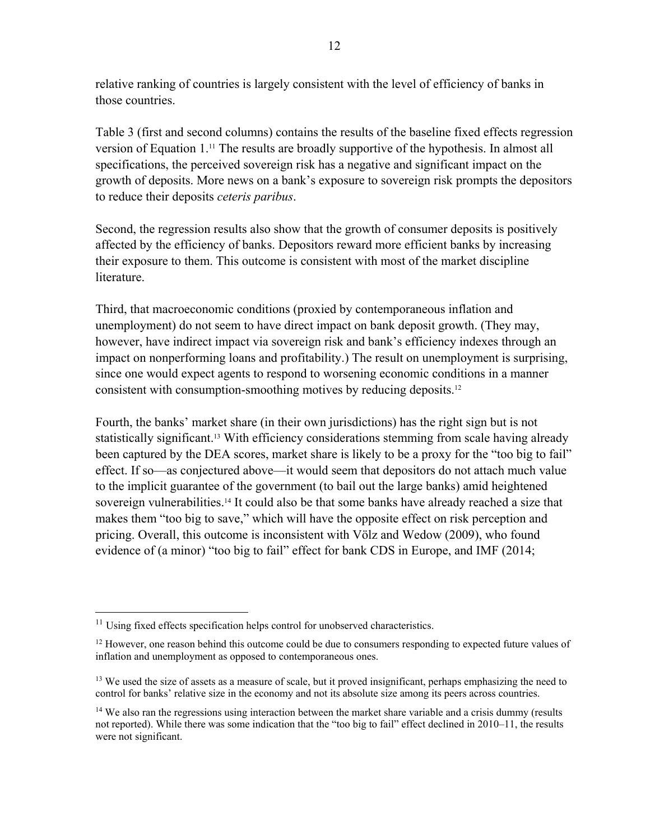relative ranking of countries is largely consistent with the level of efficiency of banks in those countries.

Table 3 (first and second columns) contains the results of the baseline fixed effects regression version of Equation 1.11 The results are broadly supportive of the hypothesis. In almost all specifications, the perceived sovereign risk has a negative and significant impact on the growth of deposits. More news on a bank's exposure to sovereign risk prompts the depositors to reduce their deposits *ceteris paribus*.

Second, the regression results also show that the growth of consumer deposits is positively affected by the efficiency of banks. Depositors reward more efficient banks by increasing their exposure to them. This outcome is consistent with most of the market discipline literature.

Third, that macroeconomic conditions (proxied by contemporaneous inflation and unemployment) do not seem to have direct impact on bank deposit growth. (They may, however, have indirect impact via sovereign risk and bank's efficiency indexes through an impact on nonperforming loans and profitability.) The result on unemployment is surprising, since one would expect agents to respond to worsening economic conditions in a manner consistent with consumption-smoothing motives by reducing deposits.12

Fourth, the banks' market share (in their own jurisdictions) has the right sign but is not statistically significant.13 With efficiency considerations stemming from scale having already been captured by the DEA scores, market share is likely to be a proxy for the "too big to fail" effect. If so—as conjectured above—it would seem that depositors do not attach much value to the implicit guarantee of the government (to bail out the large banks) amid heightened sovereign vulnerabilities.<sup>14</sup> It could also be that some banks have already reached a size that makes them "too big to save," which will have the opposite effect on risk perception and pricing. Overall, this outcome is inconsistent with Völz and Wedow (2009), who found evidence of (a minor) "too big to fail" effect for bank CDS in Europe, and IMF (2014;

 $11$  Using fixed effects specification helps control for unobserved characteristics.

<sup>&</sup>lt;sup>12</sup> However, one reason behind this outcome could be due to consumers responding to expected future values of inflation and unemployment as opposed to contemporaneous ones.

<sup>&</sup>lt;sup>13</sup> We used the size of assets as a measure of scale, but it proved insignificant, perhaps emphasizing the need to control for banks' relative size in the economy and not its absolute size among its peers across countries.

<sup>&</sup>lt;sup>14</sup> We also ran the regressions using interaction between the market share variable and a crisis dummy (results not reported). While there was some indication that the "too big to fail" effect declined in 2010–11, the results were not significant.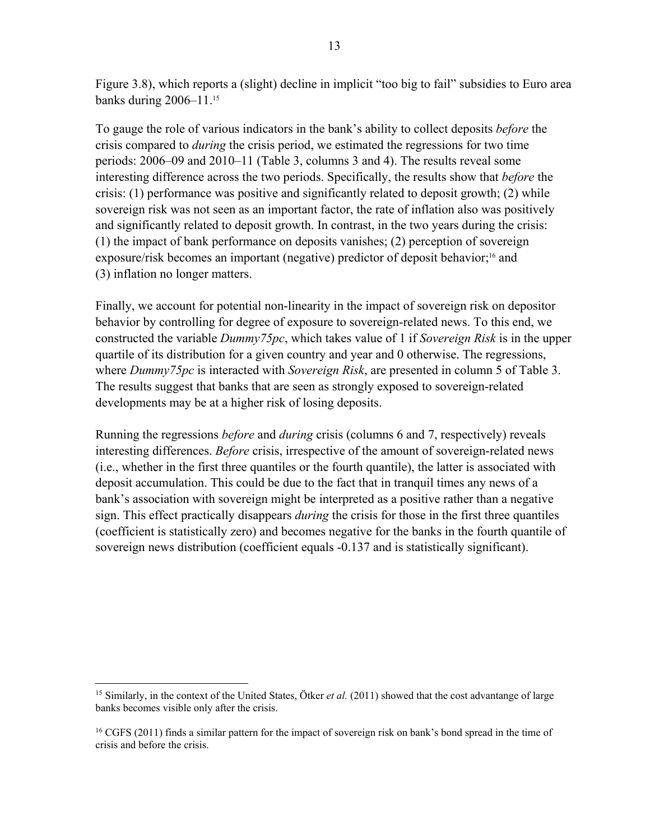Figure 3.8), which reports a (slight) decline in implicit "too big to fail" subsidies to Euro area banks during 2006–11.15

To gauge the role of various indicators in the bank's ability to collect deposits *before* the crisis compared to *during* the crisis period, we estimated the regressions for two time periods: 2006–09 and 2010–11 (Table 3, columns 3 and 4). The results reveal some interesting difference across the two periods. Specifically, the results show that *before* the crisis: (1) performance was positive and significantly related to deposit growth; (2) while sovereign risk was not seen as an important factor, the rate of inflation also was positively and significantly related to deposit growth. In contrast, in the two years during the crisis: (1) the impact of bank performance on deposits vanishes; (2) perception of sovereign exposure/risk becomes an important (negative) predictor of deposit behavior;<sup>16</sup> and (3) inflation no longer matters.

Finally, we account for potential non-linearity in the impact of sovereign risk on depositor behavior by controlling for degree of exposure to sovereign-related news. To this end, we constructed the variable *Dummy75pc*, which takes value of 1 if *Sovereign Risk* is in the upper quartile of its distribution for a given country and year and 0 otherwise. The regressions, where *Dummy75pc* is interacted with *Sovereign Risk*, are presented in column 5 of Table 3. The results suggest that banks that are seen as strongly exposed to sovereign-related developments may be at a higher risk of losing deposits.

Running the regressions *before* and *during* crisis (columns 6 and 7, respectively) reveals interesting differences. *Before* crisis, irrespective of the amount of sovereign-related news (i.e., whether in the first three quantiles or the fourth quantile), the latter is associated with deposit accumulation. This could be due to the fact that in tranquil times any news of a bank's association with sovereign might be interpreted as a positive rather than a negative sign. This effect practically disappears *during* the crisis for those in the first three quantiles (coefficient is statistically zero) and becomes negative for the banks in the fourth quantile of sovereign news distribution (coefficient equals -0.137 and is statistically significant).

<sup>&</sup>lt;sup>15</sup> Similarly, in the context of the United States, Ötker *et al.* (2011) showed that the cost advantange of large banks becomes visible only after the crisis.

<sup>16</sup> CGFS (2011) finds a similar pattern for the impact of sovereign risk on bank's bond spread in the time of crisis and before the crisis.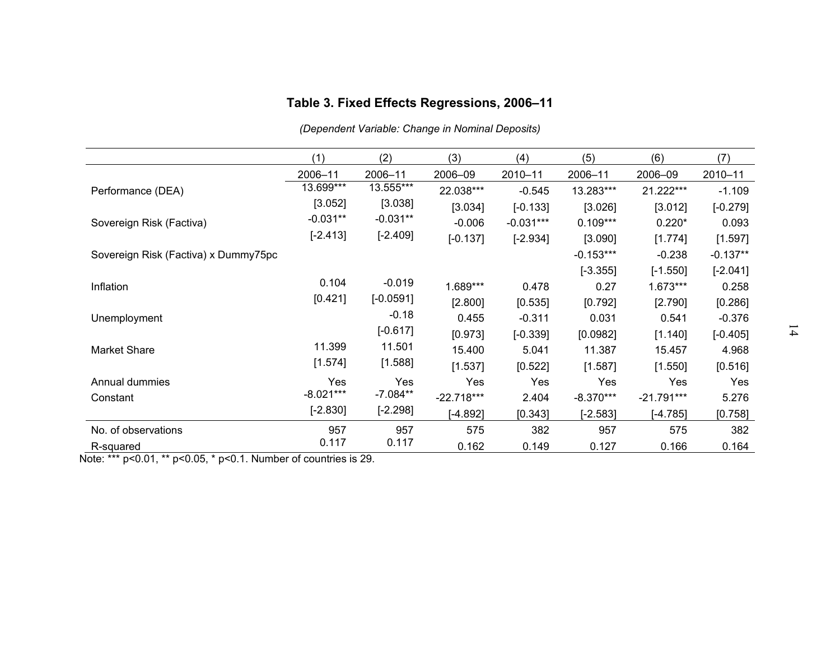|                                      |             |             | Table 3. Fixed Effects Regressions, 2006-11      |             |             |              |            |              |
|--------------------------------------|-------------|-------------|--------------------------------------------------|-------------|-------------|--------------|------------|--------------|
|                                      |             |             | (Dependent Variable: Change in Nominal Deposits) |             |             |              |            |              |
|                                      | (1)         | (2)         | (3)                                              | (4)         | (5)         | (6)          | (7)        |              |
|                                      | 2006-11     | 2006-11     | 2006-09                                          | 2010-11     | 2006-11     | 2006-09      | 2010-11    |              |
| Performance (DEA)                    | 13.699***   | 13.555***   | 22.038***                                        | $-0.545$    | 13.283***   | 21.222***    | $-1.109$   |              |
|                                      | [3.052]     | [3.038]     | [3.034]                                          | $[-0.133]$  | [3.026]     | [3.012]      | $[-0.279]$ |              |
| Sovereign Risk (Factiva)             | $-0.031**$  | $-0.031**$  | $-0.006$                                         | $-0.031***$ | $0.109***$  | $0.220*$     | 0.093      |              |
|                                      | $[-2.413]$  | $[-2.409]$  | $[-0.137]$                                       | $[-2.934]$  | [3.090]     | [1.774]      | [1.597]    |              |
| Sovereign Risk (Factiva) x Dummy75pc |             |             |                                                  |             | $-0.153***$ | $-0.238$     | $-0.137**$ |              |
|                                      |             |             |                                                  |             | $[-3.355]$  | $[-1.550]$   | $[-2.041]$ |              |
| Inflation                            | 0.104       | $-0.019$    | 1.689***                                         | 0.478       | 0.27        | $1.673***$   | 0.258      |              |
|                                      | [0.421]     | $[-0.0591]$ | [2.800]                                          | [0.535]     | [0.792]     | [2.790]      | [0.286]    |              |
| Unemployment                         |             | $-0.18$     | 0.455                                            | $-0.311$    | 0.031       | 0.541        | $-0.376$   |              |
|                                      |             | $[-0.617]$  | [0.973]                                          | $[-0.339]$  | [0.0982]    | [1.140]      | $[-0.405]$ | $\mathbf{4}$ |
| Market Share                         | 11.399      | 11.501      | 15.400                                           | 5.041       | 11.387      | 15.457       | 4.968      |              |
|                                      | [1.574]     | [1.588]     | [1.537]                                          | [0.522]     | [1.587]     | [1.550]      | [0.516]    |              |
| Annual dummies                       | Yes         | Yes         | Yes                                              | Yes         | Yes         | Yes          | Yes        |              |
| Constant                             | $-8.021***$ | $-7.084**$  | $-22.718***$                                     | 2.404       | $-8.370***$ | $-21.791***$ | 5.276      |              |
|                                      | $[-2.830]$  | $[-2.298]$  | $[-4.892]$                                       | [0.343]     | $[-2.583]$  | $[-4.785]$   | [0.758]    |              |
| No. of observations                  | 957         | 957         | 575                                              | 382         | 957         | 575          | 382        |              |
| R-squared                            | 0.117       | 0.117       | 0.162                                            | 0.149       | 0.127       | 0.166        | 0.164      |              |

Note: \*\*\*  $p<0.01$ , \*\*  $p<0.05$ , \*  $p<0.1$ . Number of countries is 29.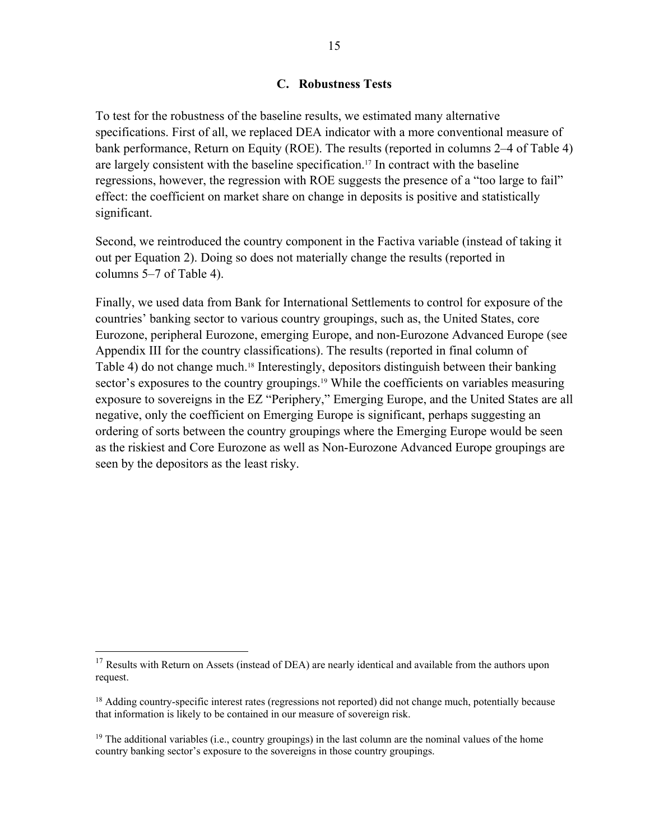#### **C. Robustness Tests**

To test for the robustness of the baseline results, we estimated many alternative specifications. First of all, we replaced DEA indicator with a more conventional measure of bank performance, Return on Equity (ROE). The results (reported in columns 2–4 of Table 4) are largely consistent with the baseline specification.17 In contract with the baseline regressions, however, the regression with ROE suggests the presence of a "too large to fail" effect: the coefficient on market share on change in deposits is positive and statistically significant.

Second, we reintroduced the country component in the Factiva variable (instead of taking it out per Equation 2). Doing so does not materially change the results (reported in columns 5–7 of Table 4).

Finally, we used data from Bank for International Settlements to control for exposure of the countries' banking sector to various country groupings, such as, the United States, core Eurozone, peripheral Eurozone, emerging Europe, and non-Eurozone Advanced Europe (see Appendix III for the country classifications). The results (reported in final column of Table 4) do not change much.<sup>18</sup> Interestingly, depositors distinguish between their banking sector's exposures to the country groupings.<sup>19</sup> While the coefficients on variables measuring exposure to sovereigns in the EZ "Periphery," Emerging Europe, and the United States are all negative, only the coefficient on Emerging Europe is significant, perhaps suggesting an ordering of sorts between the country groupings where the Emerging Europe would be seen as the riskiest and Core Eurozone as well as Non-Eurozone Advanced Europe groupings are seen by the depositors as the least risky.

<sup>&</sup>lt;sup>17</sup> Results with Return on Assets (instead of DEA) are nearly identical and available from the authors upon request.

<sup>&</sup>lt;sup>18</sup> Adding country-specific interest rates (regressions not reported) did not change much, potentially because that information is likely to be contained in our measure of sovereign risk.

<sup>&</sup>lt;sup>19</sup> The additional variables (i.e., country groupings) in the last column are the nominal values of the home country banking sector's exposure to the sovereigns in those country groupings.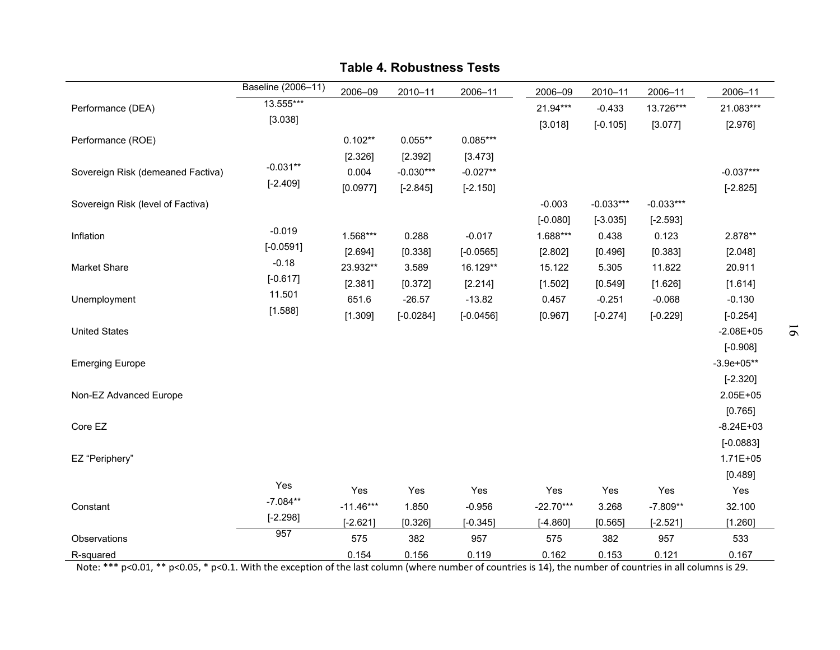|                                   |                    |             | <b>Table 4. Robustness Tests</b> |             |             |             |             |                |          |
|-----------------------------------|--------------------|-------------|----------------------------------|-------------|-------------|-------------|-------------|----------------|----------|
|                                   | Baseline (2006-11) | 2006-09     | 2010-11                          | 2006-11     | 2006-09     | 2010-11     | 2006-11     | 2006-11        |          |
| Performance (DEA)                 | 13.555***          |             |                                  |             | 21.94***    | $-0.433$    | 13.726***   | 21.083***      |          |
|                                   | [3.038]            |             |                                  |             |             | $[-0.105]$  |             |                |          |
| Performance (ROE)                 |                    | $0.102**$   | $0.055**$                        | $0.085***$  | [3.018]     |             | [3.077]     | [2.976]        |          |
|                                   |                    | [2.326]     | [2.392]                          | [3.473]     |             |             |             |                |          |
| Sovereign Risk (demeaned Factiva) | $-0.031**$         | 0.004       | $-0.030***$                      | $-0.027**$  |             |             |             | $-0.037***$    |          |
|                                   | $[-2.409]$         | [0.0977]    | $[-2.845]$                       | $[-2.150]$  |             |             |             | $[-2.825]$     |          |
| Sovereign Risk (level of Factiva) |                    |             |                                  |             | $-0.003$    | $-0.033***$ | $-0.033***$ |                |          |
|                                   |                    |             |                                  |             | $[-0.080]$  | $[-3.035]$  | $[-2.593]$  |                |          |
| Inflation                         | $-0.019$           | 1.568***    | 0.288                            | $-0.017$    | 1.688***    | 0.438       | 0.123       | 2.878**        |          |
|                                   | $[-0.0591]$        | [2.694]     | [0.338]                          | $[-0.0565]$ | [2.802]     | [0.496]     | [0.383]     | [2.048]        |          |
| Market Share                      | $-0.18$            | 23.932**    | 3.589                            | 16.129**    | 15.122      | 5.305       | 11.822      | 20.911         |          |
|                                   | $[-0.617]$         | [2.381]     | [0.372]                          | [2.214]     | [1.502]     | [0.549]     | [1.626]     | [1.614]        |          |
| Unemployment                      | 11.501             | 651.6       | $-26.57$                         | $-13.82$    | 0.457       | $-0.251$    | $-0.068$    | $-0.130$       |          |
|                                   | [1.588]            | [1.309]     | $[-0.0284]$                      | $[-0.0456]$ | [0.967]     | $[-0.274]$  | $[-0.229]$  | $[-0.254]$     |          |
| <b>United States</b>              |                    |             |                                  |             |             |             |             | $-2.08E + 05$  |          |
|                                   |                    |             |                                  |             |             |             |             | $[-0.908]$     | $\sigma$ |
| <b>Emerging Europe</b>            |                    |             |                                  |             |             |             |             | $-3.9e+05**$   |          |
|                                   |                    |             |                                  |             |             |             |             | $[-2.320]$     |          |
| Non-EZ Advanced Europe            |                    |             |                                  |             |             |             |             | 2.05E+05       |          |
|                                   |                    |             |                                  |             |             |             |             | [0.765]        |          |
| Core EZ                           |                    |             |                                  |             |             |             |             | $-8.24E+03$    |          |
|                                   |                    |             |                                  |             |             |             |             |                |          |
|                                   |                    |             |                                  |             |             |             |             | $[-0.0883]$    |          |
| EZ "Periphery"                    |                    |             |                                  |             |             |             |             | 1.71E+05       |          |
|                                   | Yes                | Yes         | Yes                              | Yes         | Yes         |             | Yes         | [0.489]<br>Yes |          |
|                                   | $-7.084**$         | $-11.46***$ |                                  |             | $-22.70***$ | Yes         |             |                |          |
| Constant                          | $[-2.298]$         |             | 1.850                            | $-0.956$    |             | 3.268       | $-7.809**$  | 32.100         |          |
|                                   | 957                | $[-2.621]$  | [0.326]                          | $[-0.345]$  | $[-4.860]$  | [0.565]     | $[-2.521]$  | [1.260]        |          |
| Observations                      |                    | 575         | 382                              | 957         | 575         | 382         | 957         | 533            |          |
| R-squared                         |                    | 0.154       | 0.156                            | 0.119       | 0.162       | 0.153       | 0.121       | 0.167          |          |

Note: \*\*\* p<0.01, \*\* p<0.05, \* p<0.1. With the exception of the last column (where number of countries is 14), the number of countries in all columns is 29.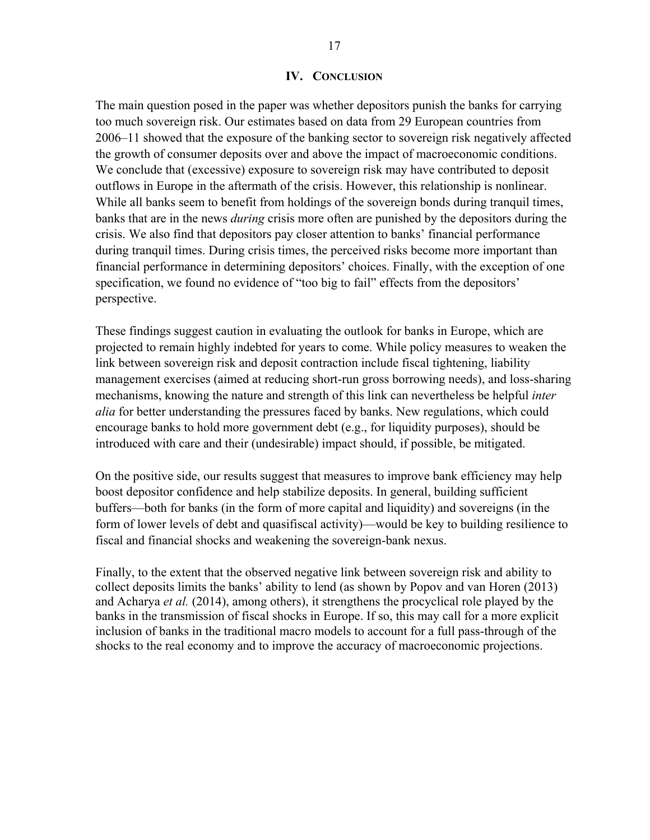#### **IV. CONCLUSION**

The main question posed in the paper was whether depositors punish the banks for carrying too much sovereign risk. Our estimates based on data from 29 European countries from 2006–11 showed that the exposure of the banking sector to sovereign risk negatively affected the growth of consumer deposits over and above the impact of macroeconomic conditions. We conclude that (excessive) exposure to sovereign risk may have contributed to deposit outflows in Europe in the aftermath of the crisis. However, this relationship is nonlinear. While all banks seem to benefit from holdings of the sovereign bonds during tranquil times, banks that are in the news *during* crisis more often are punished by the depositors during the crisis. We also find that depositors pay closer attention to banks' financial performance during tranquil times. During crisis times, the perceived risks become more important than financial performance in determining depositors' choices. Finally, with the exception of one specification, we found no evidence of "too big to fail" effects from the depositors' perspective.

These findings suggest caution in evaluating the outlook for banks in Europe, which are projected to remain highly indebted for years to come. While policy measures to weaken the link between sovereign risk and deposit contraction include fiscal tightening, liability management exercises (aimed at reducing short-run gross borrowing needs), and loss-sharing mechanisms, knowing the nature and strength of this link can nevertheless be helpful *inter alia* for better understanding the pressures faced by banks. New regulations, which could encourage banks to hold more government debt (e.g., for liquidity purposes), should be introduced with care and their (undesirable) impact should, if possible, be mitigated.

On the positive side, our results suggest that measures to improve bank efficiency may help boost depositor confidence and help stabilize deposits. In general, building sufficient buffers—both for banks (in the form of more capital and liquidity) and sovereigns (in the form of lower levels of debt and quasifiscal activity)—would be key to building resilience to fiscal and financial shocks and weakening the sovereign-bank nexus.

Finally, to the extent that the observed negative link between sovereign risk and ability to collect deposits limits the banks' ability to lend (as shown by Popov and van Horen (2013) and Acharya *et al.* (2014), among others), it strengthens the procyclical role played by the banks in the transmission of fiscal shocks in Europe. If so, this may call for a more explicit inclusion of banks in the traditional macro models to account for a full pass-through of the shocks to the real economy and to improve the accuracy of macroeconomic projections.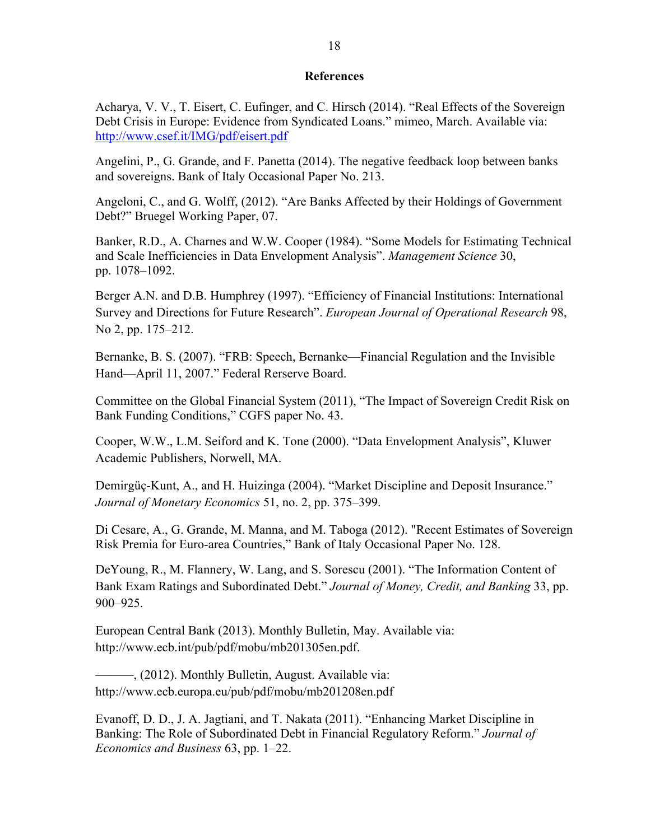#### **References**

Acharya, V. V., T. Eisert, C. Eufinger, and C. Hirsch (2014). "Real Effects of the Sovereign Debt Crisis in Europe: Evidence from Syndicated Loans." mimeo, March. Available via: http://www.csef.it/IMG/pdf/eisert.pdf

Angelini, P., G. Grande, and F. Panetta (2014). The negative feedback loop between banks and sovereigns. Bank of Italy Occasional Paper No. 213.

Angeloni, C., and G. Wolff, (2012). "Are Banks Affected by their Holdings of Government Debt?" Bruegel Working Paper, 07.

Banker, R.D., A. Charnes and W.W. Cooper (1984). "Some Models for Estimating Technical and Scale Inefficiencies in Data Envelopment Analysis". *Management Science* 30, pp. 1078–1092.

Berger A.N. and D.B. Humphrey (1997). "Efficiency of Financial Institutions: International Survey and Directions for Future Research". *European Journal of Operational Research* 98, No 2, pp. 175–212.

Bernanke, B. S. (2007). "FRB: Speech, Bernanke—Financial Regulation and the Invisible Hand—April 11, 2007." Federal Rerserve Board.

Committee on the Global Financial System (2011), "The Impact of Sovereign Credit Risk on Bank Funding Conditions," CGFS paper No. 43.

Cooper, W.W., L.M. Seiford and K. Tone (2000). "Data Envelopment Analysis", Kluwer Academic Publishers, Norwell, MA.

Demirgüç-Kunt, A., and H. Huizinga (2004). "Market Discipline and Deposit Insurance." *Journal of Monetary Economics* 51, no. 2, pp. 375–399.

Di Cesare, A., G. Grande, M. Manna, and M. Taboga (2012). "Recent Estimates of Sovereign Risk Premia for Euro-area Countries," Bank of Italy Occasional Paper No. 128.

DeYoung, R., M. Flannery, W. Lang, and S. Sorescu (2001). "The Information Content of Bank Exam Ratings and Subordinated Debt." *Journal of Money, Credit, and Banking* 33, pp. 900–925.

European Central Bank (2013). Monthly Bulletin, May. Available via: http://www.ecb.int/pub/pdf/mobu/mb201305en.pdf.

———, (2012). Monthly Bulletin, August. Available via: http://www.ecb.europa.eu/pub/pdf/mobu/mb201208en.pdf

Evanoff, D. D., J. A. Jagtiani, and T. Nakata (2011). "Enhancing Market Discipline in Banking: The Role of Subordinated Debt in Financial Regulatory Reform." *Journal of Economics and Business* 63, pp. 1–22.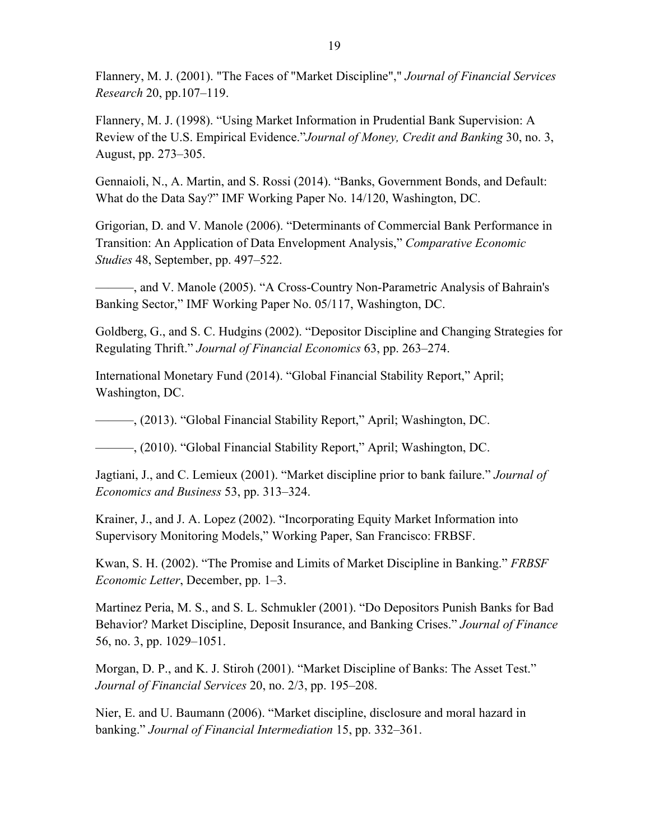Flannery, M. J. (2001). "The Faces of "Market Discipline"," *Journal of Financial Services Research* 20, pp.107–119.

Flannery, M. J. (1998). "Using Market Information in Prudential Bank Supervision: A Review of the U.S. Empirical Evidence."*Journal of Money, Credit and Banking* 30, no. 3, August, pp. 273–305.

Gennaioli, N., A. Martin, and S. Rossi (2014). "Banks, Government Bonds, and Default: What do the Data Say?" IMF Working Paper No. 14/120, Washington, DC.

Grigorian, D. and V. Manole (2006). "Determinants of Commercial Bank Performance in Transition: An Application of Data Envelopment Analysis," *Comparative Economic Studies* 48, September, pp. 497–522.

———, and V. Manole (2005). "A Cross-Country Non-Parametric Analysis of Bahrain's Banking Sector," IMF Working Paper No. 05/117, Washington, DC.

Goldberg, G., and S. C. Hudgins (2002). "Depositor Discipline and Changing Strategies for Regulating Thrift." *Journal of Financial Economics* 63, pp. 263–274.

International Monetary Fund (2014). "Global Financial Stability Report," April; Washington, DC.

———, (2013). "Global Financial Stability Report," April; Washington, DC.

———, (2010). "Global Financial Stability Report," April; Washington, DC.

Jagtiani, J., and C. Lemieux (2001). "Market discipline prior to bank failure." *Journal of Economics and Business* 53, pp. 313–324.

Krainer, J., and J. A. Lopez (2002). "Incorporating Equity Market Information into Supervisory Monitoring Models," Working Paper, San Francisco: FRBSF.

Kwan, S. H. (2002). "The Promise and Limits of Market Discipline in Banking." *FRBSF Economic Letter*, December, pp. 1–3.

Martinez Peria, M. S., and S. L. Schmukler (2001). "Do Depositors Punish Banks for Bad Behavior? Market Discipline, Deposit Insurance, and Banking Crises." *Journal of Finance* 56, no. 3, pp. 1029–1051.

Morgan, D. P., and K. J. Stiroh (2001). "Market Discipline of Banks: The Asset Test." *Journal of Financial Services* 20, no. 2/3, pp. 195–208.

Nier, E. and U. Baumann (2006). "Market discipline, disclosure and moral hazard in banking." *Journal of Financial Intermediation* 15, pp. 332–361.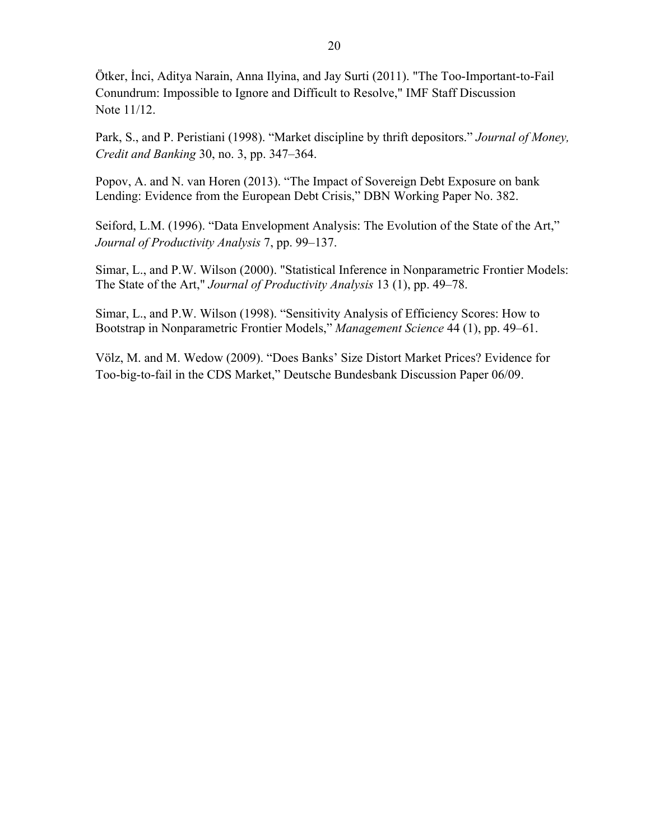Ötker, İnci, Aditya Narain, Anna Ilyina, and Jay Surti (2011). "The Too-Important-to-Fail Conundrum: Impossible to Ignore and Difficult to Resolve," IMF Staff Discussion Note 11/12.

Park, S., and P. Peristiani (1998). "Market discipline by thrift depositors." *Journal of Money, Credit and Banking* 30, no. 3, pp. 347–364.

Popov, A. and N. van Horen (2013). "The Impact of Sovereign Debt Exposure on bank Lending: Evidence from the European Debt Crisis," DBN Working Paper No. 382.

Seiford, L.M. (1996). "Data Envelopment Analysis: The Evolution of the State of the Art," *Journal of Productivity Analysis* 7, pp. 99–137.

Simar, L., and P.W. Wilson (2000). "Statistical Inference in Nonparametric Frontier Models: The State of the Art," *Journal of Productivity Analysis* 13 (1), pp. 49–78.

Simar, L., and P.W. Wilson (1998). "Sensitivity Analysis of Efficiency Scores: How to Bootstrap in Nonparametric Frontier Models," *Management Science* 44 (1), pp. 49–61.

Völz, M. and M. Wedow (2009). "Does Banks' Size Distort Market Prices? Evidence for Too-big-to-fail in the CDS Market," Deutsche Bundesbank Discussion Paper 06/09.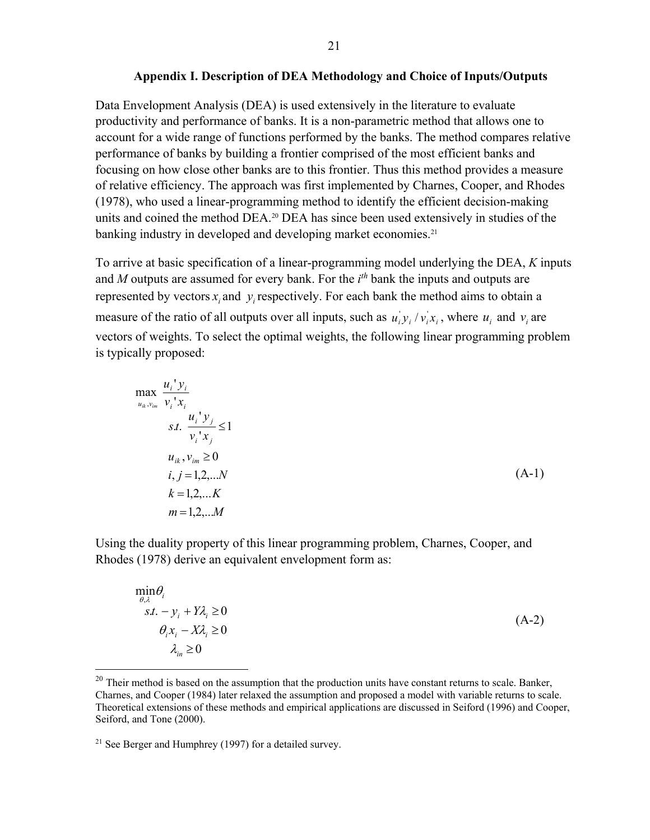#### **Appendix I. Description of DEA Methodology and Choice of Inputs/Outputs**

Data Envelopment Analysis (DEA) is used extensively in the literature to evaluate productivity and performance of banks. It is a non-parametric method that allows one to account for a wide range of functions performed by the banks. The method compares relative performance of banks by building a frontier comprised of the most efficient banks and focusing on how close other banks are to this frontier. Thus this method provides a measure of relative efficiency. The approach was first implemented by Charnes, Cooper, and Rhodes (1978), who used a linear-programming method to identify the efficient decision-making units and coined the method DEA.20 DEA has since been used extensively in studies of the banking industry in developed and developing market economies.<sup>21</sup>

To arrive at basic specification of a linear-programming model underlying the DEA, *K* inputs and *M* outputs are assumed for every bank. For the *i th* bank the inputs and outputs are represented by vectors  $x_i$  and  $y_i$  respectively. For each bank the method aims to obtain a measure of the ratio of all outputs over all inputs, such as  $u_i y_i / v_i x_i$ , where  $u_i$  and  $v_i$  are vectors of weights. To select the optimal weights, the following linear programming problem is typically proposed:

max<sub>*u<sub>i</sub>*</sub> 
$$
\frac{u_i' y_i}{v_i' x_i}
$$
  
\n*s.t.*  $\frac{u_i' y_j}{v_i' x_j} \le 1$   
\n $u_{ik}, v_{im} \ge 0$   
\n*i, j* = 1,2,...*N*  
\n*k* = 1,2,...*K*  
\n*m* = 1,2,...*M*

Using the duality property of this linear programming problem, Charnes, Cooper, and Rhodes (1978) derive an equivalent envelopment form as:

$$
\min_{\theta,\lambda} \theta_i
$$
\n
$$
s.t. -y_i + Y\lambda_i \ge 0
$$
\n
$$
\theta_i x_i - X\lambda_i \ge 0
$$
\n
$$
\lambda_{in} \ge 0
$$
\n(A-2)

 $20$  Their method is based on the assumption that the production units have constant returns to scale. Banker, Charnes, and Cooper (1984) later relaxed the assumption and proposed a model with variable returns to scale. Theoretical extensions of these methods and empirical applications are discussed in Seiford (1996) and Cooper, Seiford, and Tone (2000).

<sup>&</sup>lt;sup>21</sup> See Berger and Humphrey (1997) for a detailed survey.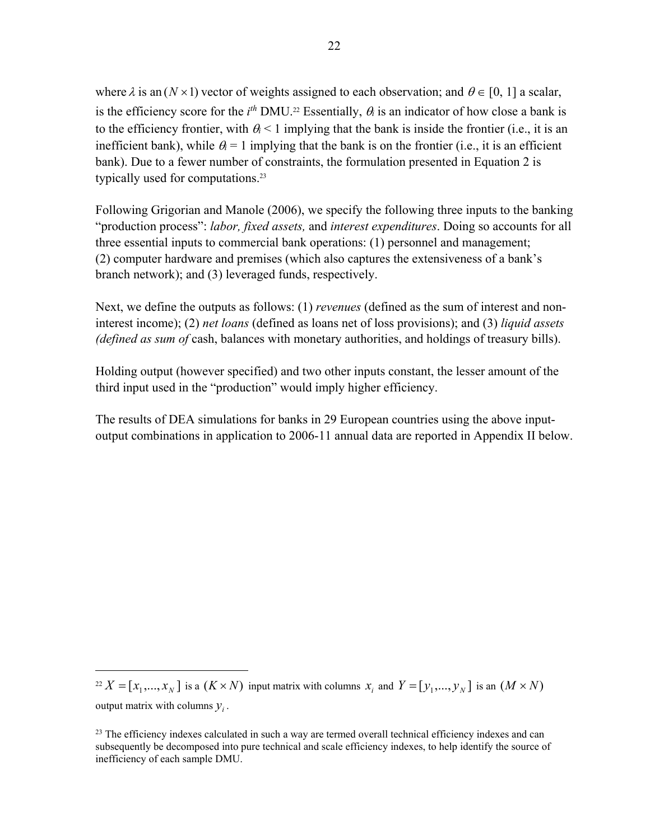where  $\lambda$  is an  $(N \times 1)$  vector of weights assigned to each observation; and  $\theta \in [0, 1]$  a scalar, is the efficiency score for the  $i^{th}$  DMU.<sup>22</sup> Essentially,  $\theta_i$  is an indicator of how close a bank is to the efficiency frontier, with  $\theta$  < 1 implying that the bank is inside the frontier (i.e., it is an inefficient bank), while  $\theta_i = 1$  implying that the bank is on the frontier (i.e., it is an efficient bank). Due to a fewer number of constraints, the formulation presented in Equation 2 is typically used for computations.23

Following Grigorian and Manole (2006), we specify the following three inputs to the banking "production process": *labor, fixed assets,* and *interest expenditures*. Doing so accounts for all three essential inputs to commercial bank operations: (1) personnel and management; (2) computer hardware and premises (which also captures the extensiveness of a bank's branch network); and (3) leveraged funds, respectively.

Next, we define the outputs as follows: (1) *revenues* (defined as the sum of interest and noninterest income); (2) *net loans* (defined as loans net of loss provisions); and (3) *liquid assets (defined as sum of* cash, balances with monetary authorities, and holdings of treasury bills).

Holding output (however specified) and two other inputs constant, the lesser amount of the third input used in the "production" would imply higher efficiency.

The results of DEA simulations for banks in 29 European countries using the above inputoutput combinations in application to 2006-11 annual data are reported in Appendix II below.

 $Z^2 X = [x_1, ..., x_N]$  is a  $(K \times N)$  input matrix with columns  $x_i$  and  $Y = [y_1, ..., y_N]$  is an  $(M \times N)$ output matrix with columns  $y_i$ .

 $^{23}$  The efficiency indexes calculated in such a way are termed overall technical efficiency indexes and can subsequently be decomposed into pure technical and scale efficiency indexes, to help identify the source of inefficiency of each sample DMU.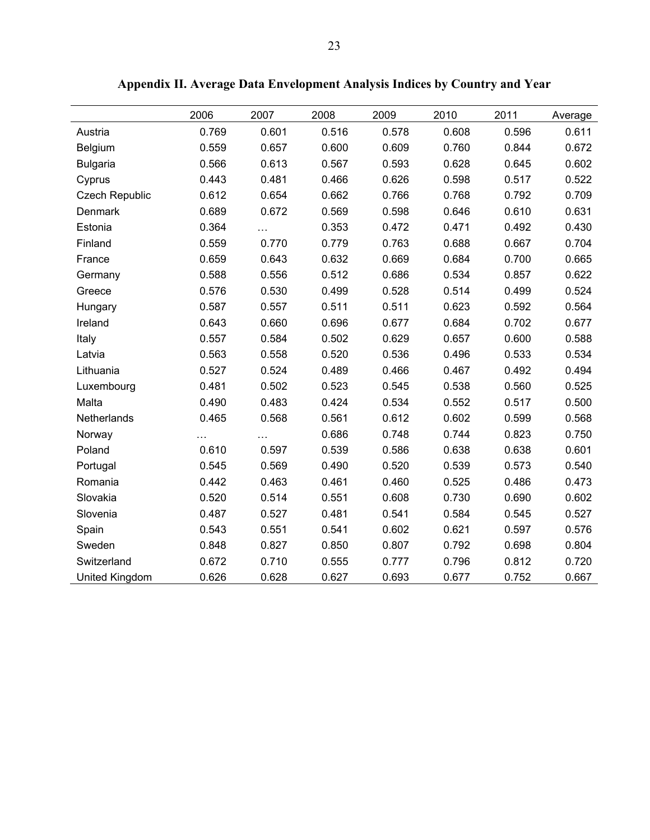|                       | 2006  | 2007  | 2008  | 2009  | 2010  | 2011  | Average |
|-----------------------|-------|-------|-------|-------|-------|-------|---------|
| Austria               | 0.769 | 0.601 | 0.516 | 0.578 | 0.608 | 0.596 | 0.611   |
| Belgium               | 0.559 | 0.657 | 0.600 | 0.609 | 0.760 | 0.844 | 0.672   |
| <b>Bulgaria</b>       | 0.566 | 0.613 | 0.567 | 0.593 | 0.628 | 0.645 | 0.602   |
| Cyprus                | 0.443 | 0.481 | 0.466 | 0.626 | 0.598 | 0.517 | 0.522   |
| <b>Czech Republic</b> | 0.612 | 0.654 | 0.662 | 0.766 | 0.768 | 0.792 | 0.709   |
| Denmark               | 0.689 | 0.672 | 0.569 | 0.598 | 0.646 | 0.610 | 0.631   |
| Estonia               | 0.364 | .     | 0.353 | 0.472 | 0.471 | 0.492 | 0.430   |
| Finland               | 0.559 | 0.770 | 0.779 | 0.763 | 0.688 | 0.667 | 0.704   |
| France                | 0.659 | 0.643 | 0.632 | 0.669 | 0.684 | 0.700 | 0.665   |
| Germany               | 0.588 | 0.556 | 0.512 | 0.686 | 0.534 | 0.857 | 0.622   |
| Greece                | 0.576 | 0.530 | 0.499 | 0.528 | 0.514 | 0.499 | 0.524   |
| Hungary               | 0.587 | 0.557 | 0.511 | 0.511 | 0.623 | 0.592 | 0.564   |
| Ireland               | 0.643 | 0.660 | 0.696 | 0.677 | 0.684 | 0.702 | 0.677   |
| Italy                 | 0.557 | 0.584 | 0.502 | 0.629 | 0.657 | 0.600 | 0.588   |
| Latvia                | 0.563 | 0.558 | 0.520 | 0.536 | 0.496 | 0.533 | 0.534   |
| Lithuania             | 0.527 | 0.524 | 0.489 | 0.466 | 0.467 | 0.492 | 0.494   |
| Luxembourg            | 0.481 | 0.502 | 0.523 | 0.545 | 0.538 | 0.560 | 0.525   |
| Malta                 | 0.490 | 0.483 | 0.424 | 0.534 | 0.552 | 0.517 | 0.500   |
| Netherlands           | 0.465 | 0.568 | 0.561 | 0.612 | 0.602 | 0.599 | 0.568   |
| Norway                | .     | .     | 0.686 | 0.748 | 0.744 | 0.823 | 0.750   |
| Poland                | 0.610 | 0.597 | 0.539 | 0.586 | 0.638 | 0.638 | 0.601   |
| Portugal              | 0.545 | 0.569 | 0.490 | 0.520 | 0.539 | 0.573 | 0.540   |
| Romania               | 0.442 | 0.463 | 0.461 | 0.460 | 0.525 | 0.486 | 0.473   |
| Slovakia              | 0.520 | 0.514 | 0.551 | 0.608 | 0.730 | 0.690 | 0.602   |
| Slovenia              | 0.487 | 0.527 | 0.481 | 0.541 | 0.584 | 0.545 | 0.527   |
| Spain                 | 0.543 | 0.551 | 0.541 | 0.602 | 0.621 | 0.597 | 0.576   |
| Sweden                | 0.848 | 0.827 | 0.850 | 0.807 | 0.792 | 0.698 | 0.804   |
| Switzerland           | 0.672 | 0.710 | 0.555 | 0.777 | 0.796 | 0.812 | 0.720   |
| United Kingdom        | 0.626 | 0.628 | 0.627 | 0.693 | 0.677 | 0.752 | 0.667   |

**Appendix II. Average Data Envelopment Analysis Indices by Country and Year**